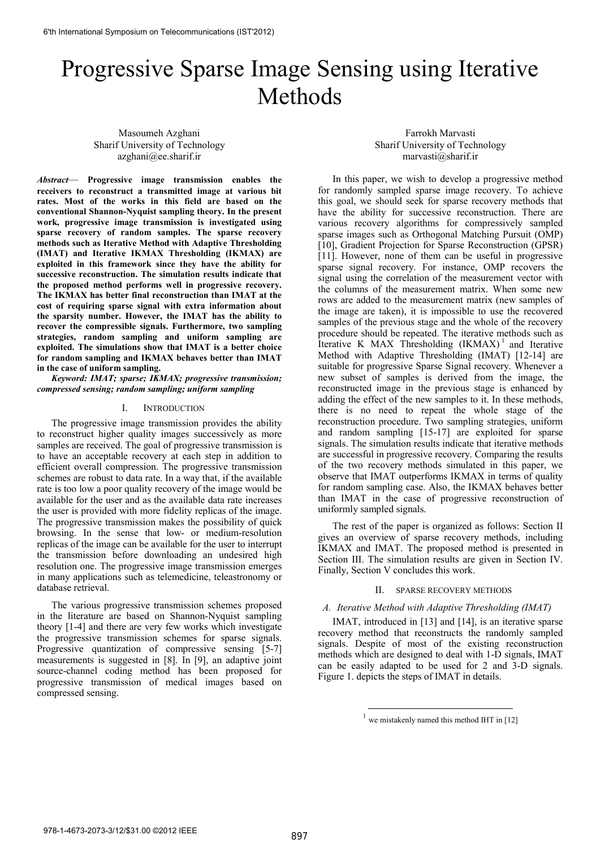# Progressive Sparse Image Sensing using Iterative Methods

Masoumeh Azghani Sharif University of Technology azghani@ee.sharif.ir

*Abstract*— **Progressive image transmission enables the receivers to reconstruct a transmitted image at various bit rates. Most of the works in this field are based on the conventional Shannon-Nyquist sampling theory. In the present work, progressive image transmission is investigated using sparse recovery of random samples. The sparse recovery methods such as Iterative Method with Adaptive Thresholding (IMAT) and Iterative IKMAX Thresholding (IKMAX) are exploited in this framework since they have the ability for successive reconstruction. The simulation results indicate that the proposed method performs well in progressive recovery. The IKMAX has better final reconstruction than IMAT at the cost of requiring sparse signal with extra information about the sparsity number. However, the IMAT has the ability to recover the compressible signals. Furthermore, two sampling strategies, random sampling and uniform sampling are exploited. The simulations show that IMAT is a better choice for random sampling and IKMAX behaves better than IMAT in the case of uniform sampling.**

*Keyword: IMAT; sparse; IKMAX; progressive transmission; compressed sensing; random sampling; uniform sampling* 

#### I. INTRODUCTION

The progressive image transmission provides the ability to reconstruct higher quality images successively as more samples are received. The goal of progressive transmission is to have an acceptable recovery at each step in addition to efficient overall compression. The progressive transmission schemes are robust to data rate. In a way that, if the available rate is too low a poor quality recovery of the image would be available for the user and as the available data rate increases the user is provided with more fidelity replicas of the image. The progressive transmission makes the possibility of quick browsing. In the sense that low- or medium-resolution replicas of the image can be available for the user to interrupt the transmission before downloading an undesired high resolution one. The progressive image transmission emerges in many applications such as telemedicine, teleastronomy or database retrieval.

The various progressive transmission schemes proposed in the literature are based on Shannon-Nyquist sampling theory [1-4] and there are very few works which investigate the progressive transmission schemes for sparse signals. Progressive quantization of compressive sensing [5-7] measurements is suggested in [8]. In [9], an adaptive joint source-channel coding method has been proposed for progressive transmission of medical images based on compressed sensing.

Farrokh Marvasti Sharif University of Technology marvasti@sharif.ir

In this paper, we wish to develop a progressive method for randomly sampled sparse image recovery. To achieve this goal, we should seek for sparse recovery methods that have the ability for successive reconstruction. There are various recovery algorithms for compressively sampled sparse images such as Orthogonal Matching Pursuit (OMP) [10], Gradient Projection for Sparse Reconstruction (GPSR) [11]. However, none of them can be useful in progressive sparse signal recovery. For instance, OMP recovers the signal using the correlation of the measurement vector with the columns of the measurement matrix. When some new rows are added to the measurement matrix (new samples of the image are taken), it is impossible to use the recovered samples of the previous stage and the whole of the recovery procedure should be repeated. The iterative methods such as Iterative K MAX Thresholding  $(IKMAX)^1$  and Iterative Method with Adaptive Thresholding (IMAT) [12-14] are suitable for progressive Sparse Signal recovery. Whenever a new subset of samples is derived from the image, the reconstructed image in the previous stage is enhanced by adding the effect of the new samples to it. In these methods, there is no need to repeat the whole stage of the reconstruction procedure. Two sampling strategies, uniform and random sampling [15-17] are exploited for sparse signals. The simulation results indicate that iterative methods are successful in progressive recovery. Comparing the results of the two recovery methods simulated in this paper, we observe that IMAT outperforms IKMAX in terms of quality for random sampling case. Also, the IKMAX behaves better than IMAT in the case of progressive reconstruction of uniformly sampled signals.

The rest of the paper is organized as follows: Section II gives an overview of sparse recovery methods, including IKMAX and IMAT. The proposed method is presented in Section III. The simulation results are given in Section IV. Finally, Section V concludes this work.

### II. SPARSE RECOVERY METHODS

## *A. Iterative Method with Adaptive Thresholding (IMAT)*

IMAT, introduced in [13] and [14], is an iterative sparse recovery method that reconstructs the randomly sampled signals. Despite of most of the existing reconstruction methods which are designed to deal with 1-D signals, IMAT can be easily adapted to be used for 2 and 3-D signals. Figure 1. depicts the steps of IMAT in details.

-

 $1$  we mistakenly named this method IHT in [12]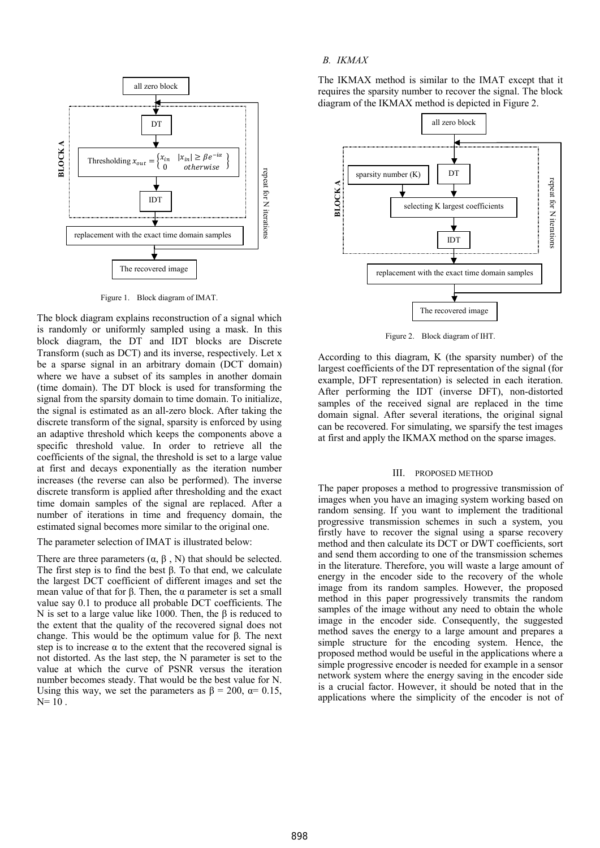

Figure 1. Block diagram of IMAT.

The block diagram explains reconstruction of a signal which is randomly or uniformly sampled using a mask. In this block diagram, the DT and IDT blocks are Discrete Transform (such as DCT) and its inverse, respectively. Let x be a sparse signal in an arbitrary domain (DCT domain) where we have a subset of its samples in another domain (time domain). The DT block is used for transforming the signal from the sparsity domain to time domain. To initialize, the signal is estimated as an all-zero block. After taking the discrete transform of the signal, sparsity is enforced by using an adaptive threshold which keeps the components above a specific threshold value. In order to retrieve all the coefficients of the signal, the threshold is set to a large value at first and decays exponentially as the iteration number increases (the reverse can also be performed). The inverse discrete transform is applied after thresholding and the exact time domain samples of the signal are replaced. After a number of iterations in time and frequency domain, the estimated signal becomes more similar to the original one.

The parameter selection of IMAT is illustrated below:

There are three parameters  $(\alpha, \beta, N)$  that should be selected. The first step is to find the best  $β$ . To that end, we calculate the largest DCT coefficient of different images and set the mean value of that for β. Then, the  $α$  parameter is set a small value say 0.1 to produce all probable DCT coefficients. The N is set to a large value like 1000. Then, the β is reduced to the extent that the quality of the recovered signal does not change. This would be the optimum value for β. The next step is to increase  $\alpha$  to the extent that the recovered signal is not distorted. As the last step, the N parameter is set to the value at which the curve of PSNR versus the iteration number becomes steady. That would be the best value for N. Using this way, we set the parameters as  $\beta = 200$ ,  $\alpha = 0.15$ ,  $N= 10$ .

## *B. IKMAX*

The IKMAX method is similar to the IMAT except that it requires the sparsity number to recover the signal. The block diagram of the IKMAX method is depicted in Figure 2.



Figure 2. Block diagram of IHT.

According to this diagram, K (the sparsity number) of the largest coefficients of the DT representation of the signal (for example, DFT representation) is selected in each iteration. After performing the IDT (inverse DFT), non-distorted samples of the received signal are replaced in the time domain signal. After several iterations, the original signal can be recovered. For simulating, we sparsify the test images at first and apply the IKMAX method on the sparse images.

#### III. PROPOSED METHOD

The paper proposes a method to progressive transmission of images when you have an imaging system working based on random sensing. If you want to implement the traditional progressive transmission schemes in such a system, you firstly have to recover the signal using a sparse recovery method and then calculate its DCT or DWT coefficients, sort and send them according to one of the transmission schemes in the literature. Therefore, you will waste a large amount of energy in the encoder side to the recovery of the whole image from its random samples. However, the proposed method in this paper progressively transmits the random samples of the image without any need to obtain the whole image in the encoder side. Consequently, the suggested method saves the energy to a large amount and prepares a simple structure for the encoding system. Hence, the proposed method would be useful in the applications where a simple progressive encoder is needed for example in a sensor network system where the energy saving in the encoder side is a crucial factor. However, it should be noted that in the applications where the simplicity of the encoder is not of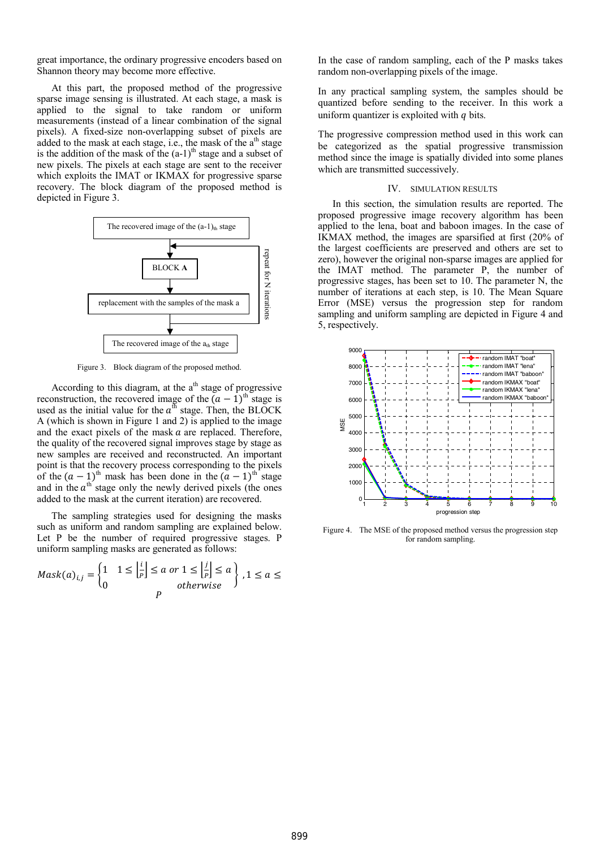great importance, the ordinary progressive encoders based on Shannon theory may become more effective.

At this part, the proposed method of the progressive sparse image sensing is illustrated. At each stage, a mask is applied to the signal to take random or uniform measurements (instead of a linear combination of the signal pixels). A fixed-size non-overlapping subset of pixels are added to the mask at each stage, i.e., the mask of the  $a<sup>th</sup>$  stage is the addition of the mask of the  $(a-1)^{th}$  stage and a subset of new pixels. The pixels at each stage are sent to the receiver which exploits the IMAT or IKMAX for progressive sparse recovery. The block diagram of the proposed method is depicted in Figure 3.



Figure 3. Block diagram of the proposed method.

According to this diagram, at the  $a<sup>th</sup>$  stage of progressive reconstruction, the recovered image of the  $(a - 1)$ <sup>th</sup> stage is used as the initial value for the  $a<sup>th</sup>$  stage. Then, the BLOCK A (which is shown in Figure 1 and 2) is applied to the image and the exact pixels of the mask  $a$  are replaced. Therefore, the quality of the recovered signal improves stage by stage as new samples are received and reconstructed. An important point is that the recovery process corresponding to the pixels of the  $(a - 1)$ <sup>th</sup> mask has been done in the  $(a - 1)$ <sup>th</sup> stage and in the  $a<sup>th</sup>$  stage only the newly derived pixels (the ones added to the mask at the current iteration) are recovered.

The sampling strategies used for designing the masks such as uniform and random sampling are explained below. Let P be the number of required progressive stages. P uniform sampling masks are generated as follows:

$$
Mask(a)_{i,j} = \begin{cases} 1 & 1 \leq \left\lfloor \frac{i}{p} \right\rfloor \leq a \text{ or } 1 \leq \left\lfloor \frac{j}{p} \right\rfloor \leq a \\ 0 & otherwise \end{cases}, 1 \leq a \leq
$$

In the case of random sampling, each of the P masks takes random non-overlapping pixels of the image.

In any practical sampling system, the samples should be quantized before sending to the receiver. In this work a uniform quantizer is exploited with  $q$  bits.

The progressive compression method used in this work can be categorized as the spatial progressive transmission method since the image is spatially divided into some planes which are transmitted successively.

#### IV. SIMULATION RESULTS

In this section, the simulation results are reported. The proposed progressive image recovery algorithm has been applied to the lena, boat and baboon images. In the case of IKMAX method, the images are sparsified at first (20% of the largest coefficients are preserved and others are set to zero), however the original non-sparse images are applied for the IMAT method. The parameter P, the number of progressive stages, has been set to 10. The parameter N, the number of iterations at each step, is 10. The Mean Square Error (MSE) versus the progression step for random sampling and uniform sampling are depicted in Figure 4 and 5, respectively.



Figure 4. The MSE of the proposed method versus the progression step for random sampling.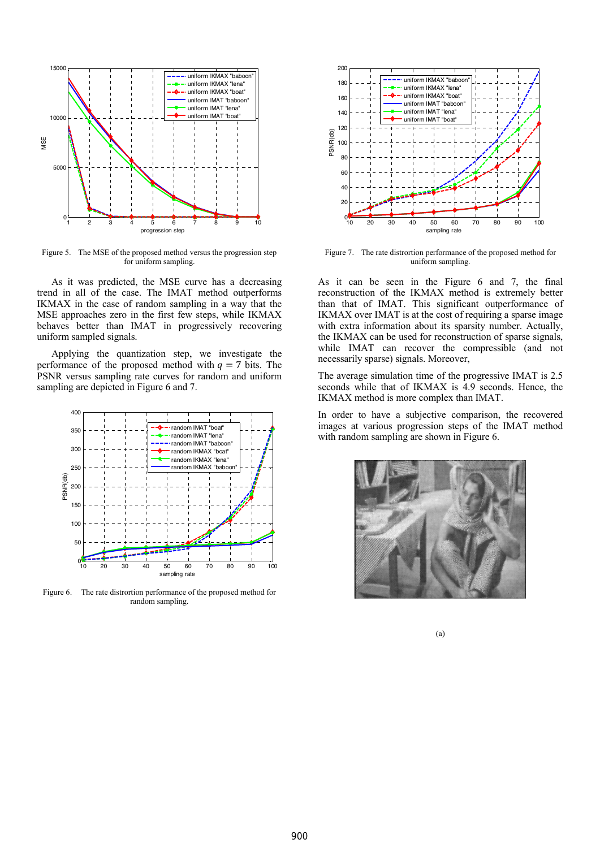

Figure 5. The MSE of the proposed method versus the progression step for uniform sampling.

As it was predicted, the MSE curve has a decreasing trend in all of the case. The IMAT method outperforms IKMAX in the case of random sampling in a way that the MSE approaches zero in the first few steps, while IKMAX behaves better than IMAT in progressively recovering uniform sampled signals.

Applying the quantization step, we investigate the performance of the proposed method with  $q = 7$  bits. The PSNR versus sampling rate curves for random and uniform sampling are depicted in Figure 6 and 7.



Figure 6. The rate distrortion performance of the proposed method for random sampling.



Figure 7. The rate distrortion performance of the proposed method for uniform sampling.

As it can be seen in the Figure 6 and 7, the final reconstruction of the IKMAX method is extremely better than that of IMAT. This significant outperformance of IKMAX over IMAT is at the cost of requiring a sparse image with extra information about its sparsity number. Actually, the IKMAX can be used for reconstruction of sparse signals, while IMAT can recover the compressible (and not necessarily sparse) signals. Moreover,

The average simulation time of the progressive IMAT is 2.5 seconds while that of IKMAX is 4.9 seconds. Hence, the IKMAX method is more complex than IMAT.

In order to have a subjective comparison, the recovered images at various progression steps of the IMAT method with random sampling are shown in Figure 6.



(a)